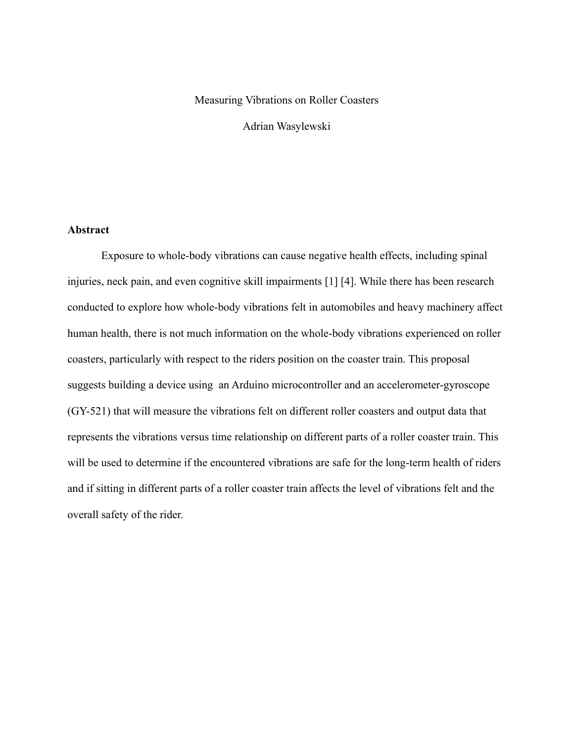#### Measuring Vibrations on Roller Coasters

Adrian Wasylewski

## **Abstract**

Exposure to whole-body vibrations can cause negative health effects, including spinal injuries, neck pain, and even cognitive skill impairments [1] [4]. While there has been research conducted to explore how whole-body vibrations felt in automobiles and heavy machinery affect human health, there is not much information on the whole-body vibrations experienced on roller coasters, particularly with respect to the riders position on the coaster train. This proposal suggests building a device using an Arduino microcontroller and an accelerometer-gyroscope (GY-521) that will measure the vibrations felt on different roller coasters and output data that represents the vibrations versus time relationship on different parts of a roller coaster train. This will be used to determine if the encountered vibrations are safe for the long-term health of riders and if sitting in different parts of a roller coaster train affects the level of vibrations felt and the overall safety of the rider.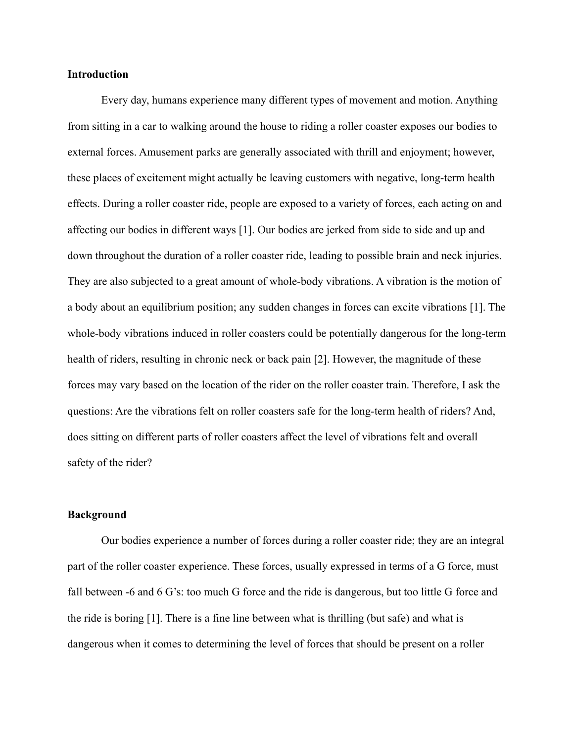#### **Introduction**

Every day, humans experience many different types of movement and motion. Anything from sitting in a car to walking around the house to riding a roller coaster exposes our bodies to external forces. Amusement parks are generally associated with thrill and enjoyment; however, these places of excitement might actually be leaving customers with negative, long-term health effects. During a roller coaster ride, people are exposed to a variety of forces, each acting on and affecting our bodies in different ways [1]. Our bodies are jerked from side to side and up and down throughout the duration of a roller coaster ride, leading to possible brain and neck injuries. They are also subjected to a great amount of whole-body vibrations. A vibration is the motion of a body about an equilibrium position; any sudden changes in forces can excite vibrations [1]. The whole-body vibrations induced in roller coasters could be potentially dangerous for the long-term health of riders, resulting in chronic neck or back pain [2]. However, the magnitude of these forces may vary based on the location of the rider on the roller coaster train. Therefore, I ask the questions: Are the vibrations felt on roller coasters safe for the long-term health of riders? And, does sitting on different parts of roller coasters affect the level of vibrations felt and overall safety of the rider?

### **Background**

Our bodies experience a number of forces during a roller coaster ride; they are an integral part of the roller coaster experience. These forces, usually expressed in terms of a G force, must fall between -6 and 6 G's: too much G force and the ride is dangerous, but too little G force and the ride is boring [1]. There is a fine line between what is thrilling (but safe) and what is dangerous when it comes to determining the level of forces that should be present on a roller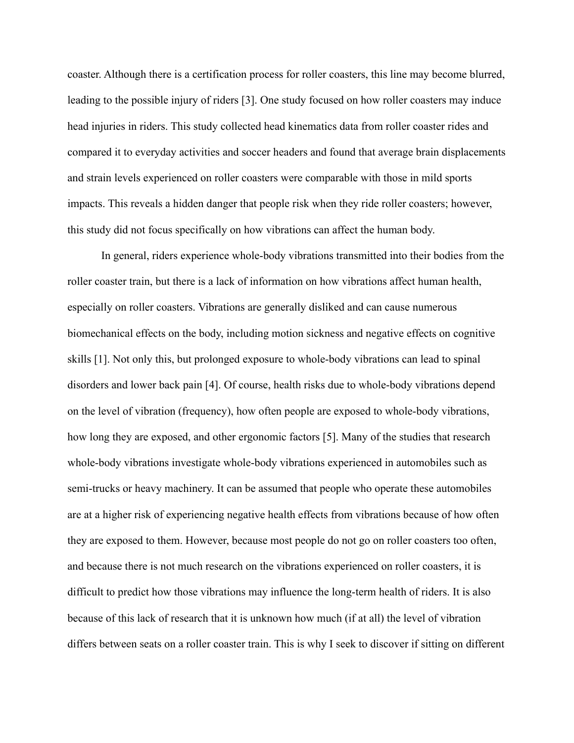coaster. Although there is a certification process for roller coasters, this line may become blurred, leading to the possible injury of riders [3]. One study focused on how roller coasters may induce head injuries in riders. This study collected head kinematics data from roller coaster rides and compared it to everyday activities and soccer headers and found that average brain displacements and strain levels experienced on roller coasters were comparable with those in mild sports impacts. This reveals a hidden danger that people risk when they ride roller coasters; however, this study did not focus specifically on how vibrations can affect the human body.

In general, riders experience whole-body vibrations transmitted into their bodies from the roller coaster train, but there is a lack of information on how vibrations affect human health, especially on roller coasters. Vibrations are generally disliked and can cause numerous biomechanical effects on the body, including motion sickness and negative effects on cognitive skills [1]. Not only this, but prolonged exposure to whole-body vibrations can lead to spinal disorders and lower back pain [4]. Of course, health risks due to whole-body vibrations depend on the level of vibration (frequency), how often people are exposed to whole-body vibrations, how long they are exposed, and other ergonomic factors [5]. Many of the studies that research whole-body vibrations investigate whole-body vibrations experienced in automobiles such as semi-trucks or heavy machinery. It can be assumed that people who operate these automobiles are at a higher risk of experiencing negative health effects from vibrations because of how often they are exposed to them. However, because most people do not go on roller coasters too often, and because there is not much research on the vibrations experienced on roller coasters, it is difficult to predict how those vibrations may influence the long-term health of riders. It is also because of this lack of research that it is unknown how much (if at all) the level of vibration differs between seats on a roller coaster train. This is why I seek to discover if sitting on different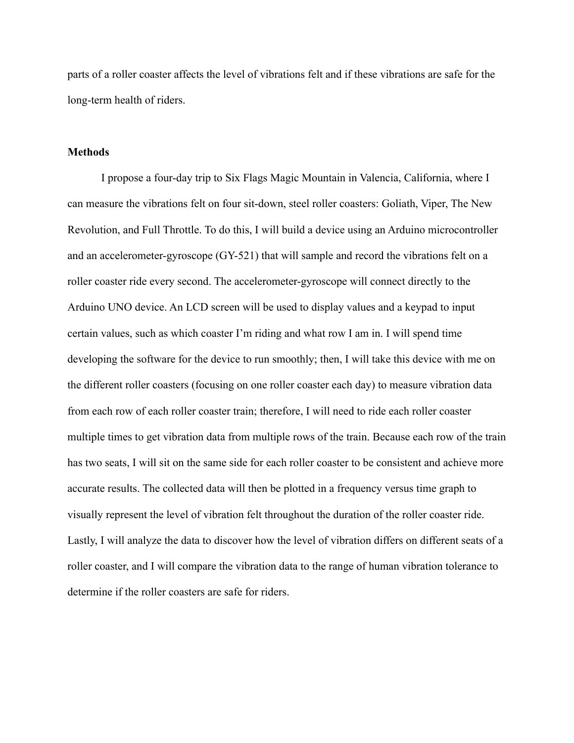parts of a roller coaster affects the level of vibrations felt and if these vibrations are safe for the long-term health of riders.

#### **Methods**

I propose a four-day trip to Six Flags Magic Mountain in Valencia, California, where I can measure the vibrations felt on four sit-down, steel roller coasters: Goliath, Viper, The New Revolution, and Full Throttle. To do this, I will build a device using an Arduino microcontroller and an accelerometer-gyroscope (GY-521) that will sample and record the vibrations felt on a roller coaster ride every second. The accelerometer-gyroscope will connect directly to the Arduino UNO device. An LCD screen will be used to display values and a keypad to input certain values, such as which coaster I'm riding and what row I am in. I will spend time developing the software for the device to run smoothly; then, I will take this device with me on the different roller coasters (focusing on one roller coaster each day) to measure vibration data from each row of each roller coaster train; therefore, I will need to ride each roller coaster multiple times to get vibration data from multiple rows of the train. Because each row of the train has two seats, I will sit on the same side for each roller coaster to be consistent and achieve more accurate results. The collected data will then be plotted in a frequency versus time graph to visually represent the level of vibration felt throughout the duration of the roller coaster ride. Lastly, I will analyze the data to discover how the level of vibration differs on different seats of a roller coaster, and I will compare the vibration data to the range of human vibration tolerance to determine if the roller coasters are safe for riders.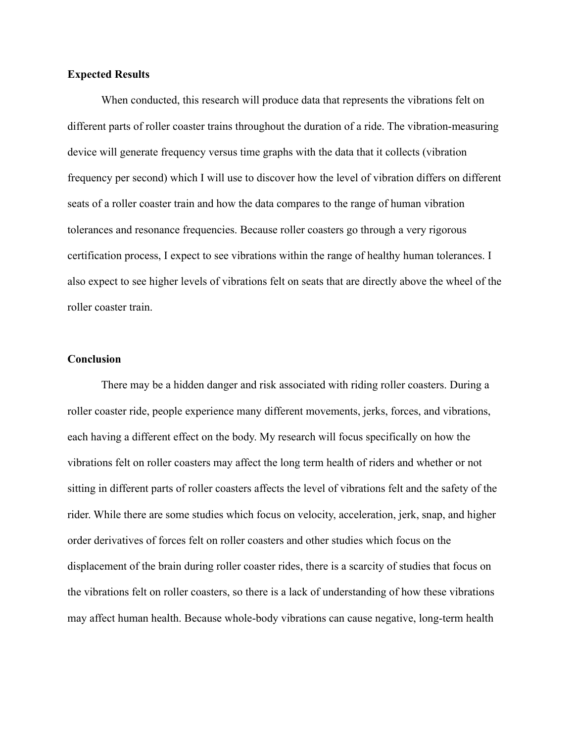#### **Expected Results**

When conducted, this research will produce data that represents the vibrations felt on different parts of roller coaster trains throughout the duration of a ride. The vibration-measuring device will generate frequency versus time graphs with the data that it collects (vibration frequency per second) which I will use to discover how the level of vibration differs on different seats of a roller coaster train and how the data compares to the range of human vibration tolerances and resonance frequencies. Because roller coasters go through a very rigorous certification process, I expect to see vibrations within the range of healthy human tolerances. I also expect to see higher levels of vibrations felt on seats that are directly above the wheel of the roller coaster train.

#### **Conclusion**

There may be a hidden danger and risk associated with riding roller coasters. During a roller coaster ride, people experience many different movements, jerks, forces, and vibrations, each having a different effect on the body. My research will focus specifically on how the vibrations felt on roller coasters may affect the long term health of riders and whether or not sitting in different parts of roller coasters affects the level of vibrations felt and the safety of the rider. While there are some studies which focus on velocity, acceleration, jerk, snap, and higher order derivatives of forces felt on roller coasters and other studies which focus on the displacement of the brain during roller coaster rides, there is a scarcity of studies that focus on the vibrations felt on roller coasters, so there is a lack of understanding of how these vibrations may affect human health. Because whole-body vibrations can cause negative, long-term health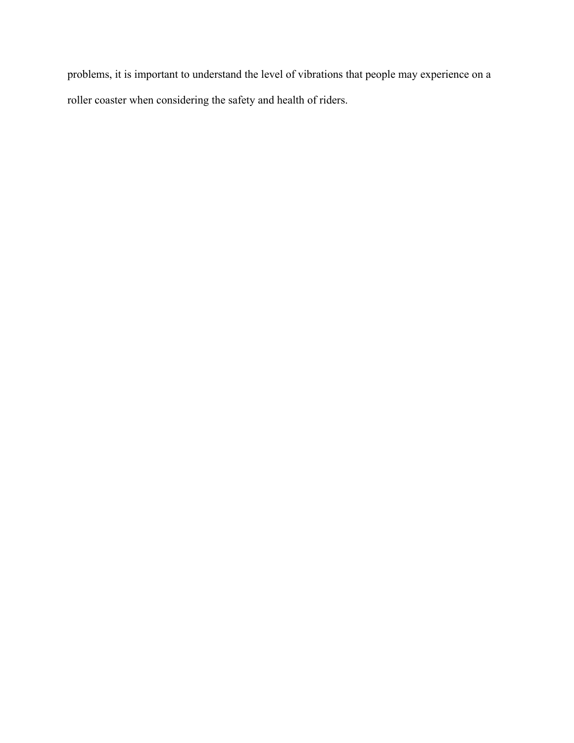problems, it is important to understand the level of vibrations that people may experience on a roller coaster when considering the safety and health of riders.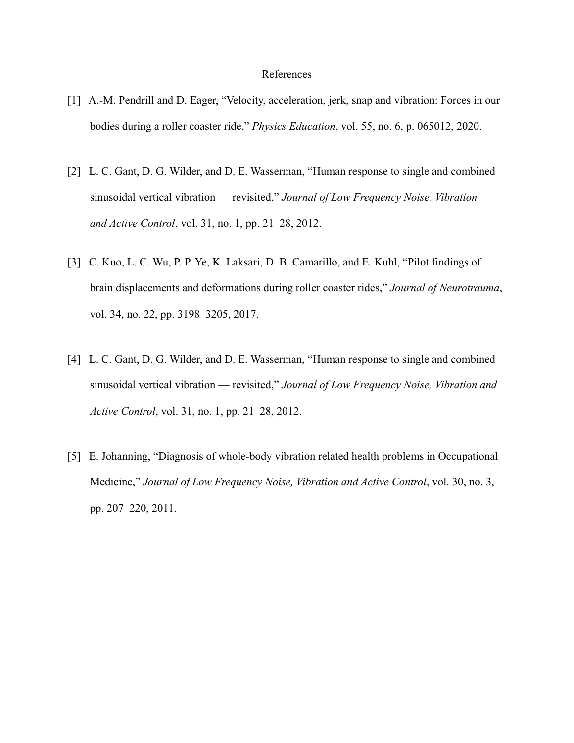#### References

- [1] A.-M. Pendrill and D. Eager, "Velocity, acceleration, jerk, snap and vibration: Forces in our bodies during a roller coaster ride," *Physics Education*, vol. 55, no. 6, p. 065012, 2020.
- [2] L. C. Gant, D. G. Wilder, and D. E. Wasserman, "Human response to single and combined sinusoidal vertical vibration — revisited," *Journal of Low Frequency Noise, Vibration and Active Control*, vol. 31, no. 1, pp. 21–28, 2012.
- [3] C. Kuo, L. C. Wu, P. P. Ye, K. Laksari, D. B. Camarillo, and E. Kuhl, "Pilot findings of brain displacements and deformations during roller coaster rides," *Journal of Neurotrauma*, vol. 34, no. 22, pp. 3198–3205, 2017.
- [4] L. C. Gant, D. G. Wilder, and D. E. Wasserman, "Human response to single and combined sinusoidal vertical vibration — revisited," *Journal of Low Frequency Noise, Vibration and Active Control*, vol. 31, no. 1, pp. 21–28, 2012.
- [5] E. Johanning, "Diagnosis of whole-body vibration related health problems in Occupational Medicine," *Journal of Low Frequency Noise, Vibration and Active Control*, vol. 30, no. 3, pp. 207–220, 2011.